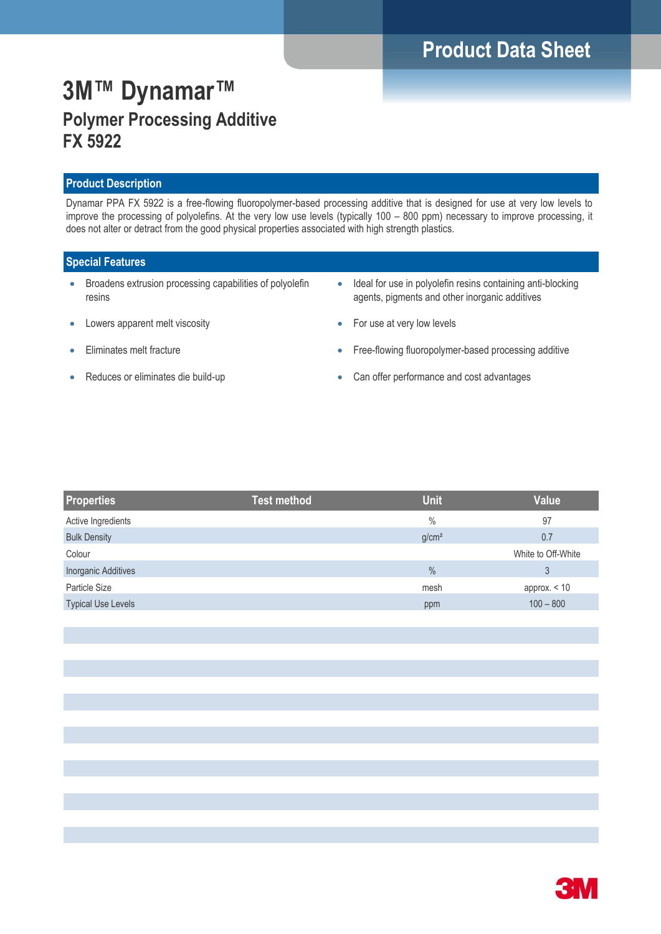# **Product Data Sheet**

# **3M™ Dynamar™ Polymer Processing Additive FX 5922**

### **Product Description**

Dynamar PPA FX 5922 is a free-flowing fluoropolymer-based processing additive that is designed for use at very low levels to improve the processing of polyolefins. At the very low use levels (typically 100 – 800 ppm) necessary to improve processing, it does not alter or detract from the good physical properties associated with high strength plastics.

### **Special Features**

- Broadens extrusion processing capabilities of polyolefin resins
- Lowers apparent melt viscosity
- **Eliminates melt fracture**
- Reduces or eliminates die build-up
- Ideal for use in polyolefin resins containing anti-blocking agents, pigments and other inorganic additives
- For use at very low levels
- Free-flowing fluoropolymer-based processing additive
- Can offer performance and cost advantages

| <b>Properties</b>         | <b>Test method</b> | <b>Unit</b>       | <b>Value</b>       |
|---------------------------|--------------------|-------------------|--------------------|
| Active Ingredients        |                    | $\frac{0}{0}$     | 97                 |
| <b>Bulk Density</b>       |                    | g/cm <sup>2</sup> | 0.7                |
| Colour                    |                    |                   | White to Off-White |
| Inorganic Additives       |                    | $\frac{0}{0}$     | 3                  |
| Particle Size             |                    | mesh              | approx. $<$ 10     |
| <b>Typical Use Levels</b> |                    | ppm               | $100 - 800$        |

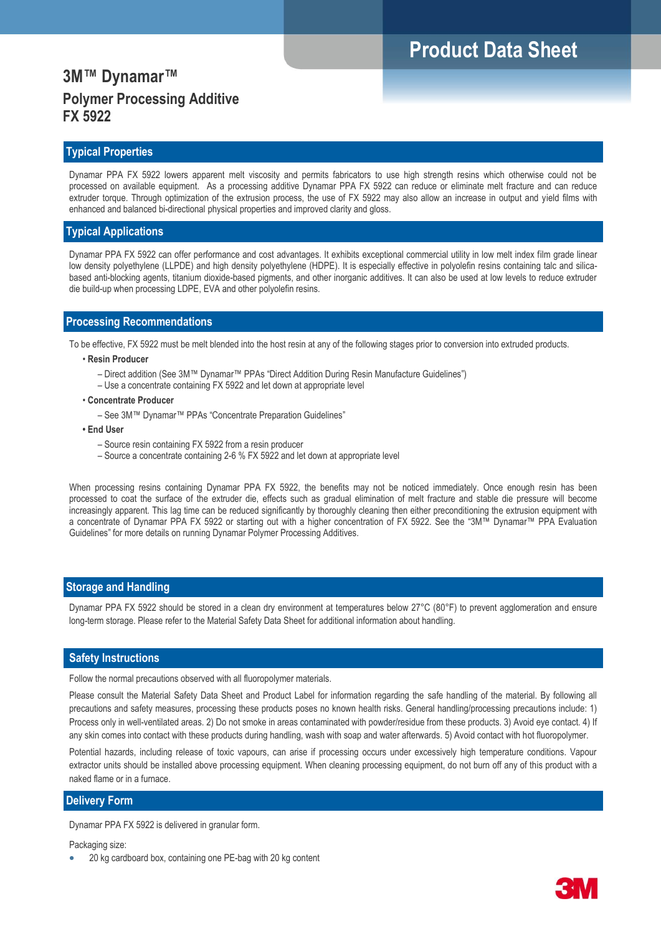## **3M™ Dynamar™ Polymer Processing Additive FX 5922**

### **Typical Properties**

Dynamar PPA FX 5922 lowers apparent melt viscosity and permits fabricators to use high strength resins which otherwise could not be processed on available equipment. As a processing additive Dynamar PPA FX 5922 can reduce or eliminate melt fracture and can reduce extruder torque. Through optimization of the extrusion process, the use of FX 5922 may also allow an increase in output and yield films with enhanced and balanced bi-directional physical properties and improved clarity and gloss.

#### **Typical Applications**

Dynamar PPA FX 5922 can offer performance and cost advantages. It exhibits exceptional commercial utility in low melt index film grade linear low density polyethylene (LLPDE) and high density polyethylene (HDPE). It is especially effective in polyolefin resins containing talc and silicabased anti-blocking agents, titanium dioxide-based pigments, and other inorganic additives. It can also be used at low levels to reduce extruder die build-up when processing LDPE, EVA and other polyolefin resins.

### **Processing Recommendations**

To be effective, FX 5922 must be melt blended into the host resin at any of the following stages prior to conversion into extruded products.

#### • **Resin Producer**

- Direct addition (See 3M™ Dynamar™ PPAs "Direct Addition During Resin Manufacture Guidelines")
- Use a concentrate containing FX 5922 and let down at appropriate level

#### • **Concentrate Producer**

– See 3M™ Dynamar™ PPAs "Concentrate Preparation Guidelines"

#### **• End User**

- Source resin containing FX 5922 from a resin producer
- Source a concentrate containing 2-6 % FX 5922 and let down at appropriate level

When processing resins containing Dynamar PPA FX 5922, the benefits may not be noticed immediately. Once enough resin has been processed to coat the surface of the extruder die, effects such as gradual elimination of melt fracture and stable die pressure will become increasingly apparent. This lag time can be reduced significantly by thoroughly cleaning then either preconditioning the extrusion equipment with a concentrate of Dynamar PPA FX 5922 or starting out with a higher concentration of FX 5922. See the "3M™ Dynamar™ PPA Evaluation Guidelines" for more details on running Dynamar Polymer Processing Additives.

#### **Storage and Handling**

Dynamar PPA FX 5922 should be stored in a clean dry environment at temperatures below 27°C (80°F) to prevent agglomeration and ensure long-term storage. Please refer to the Material Safety Data Sheet for additional information about handling.

#### **Safety Instructions**

Follow the normal precautions observed with all fluoropolymer materials.

Please consult the Material Safety Data Sheet and Product Label for information regarding the safe handling of the material. By following all precautions and safety measures, processing these products poses no known health risks. General handling/processing precautions include: 1) Process only in well-ventilated areas. 2) Do not smoke in areas contaminated with powder/residue from these products. 3) Avoid eye contact. 4) If any skin comes into contact with these products during handling, wash with soap and water afterwards. 5) Avoid contact with hot fluoropolymer.

Potential hazards, including release of toxic vapours, can arise if processing occurs under excessively high temperature conditions. Vapour extractor units should be installed above processing equipment. When cleaning processing equipment, do not burn off any of this product with a naked flame or in a furnace.

#### **Delivery Form**

Dynamar PPA FX 5922 is delivered in granular form.

Packaging size:

20 kg cardboard box, containing one PE-bag with 20 kg content

# **Product Data Sheet**